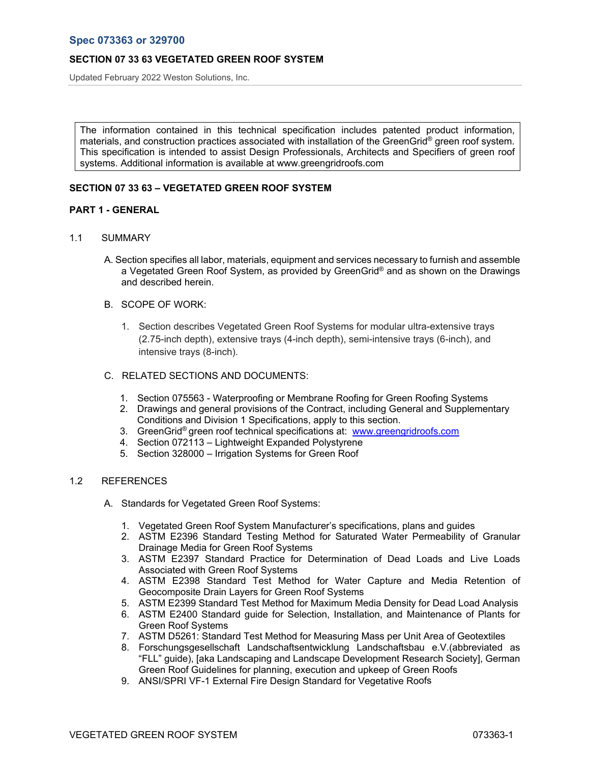Updated February 2022 Weston Solutions, Inc.

The information contained in this technical specification includes patented product information, materials, and construction practices associated with installation of the GreenGrid® green roof system. This specification is intended to assist Design Professionals, Architects and Specifiers of green roof systems. Additional information is available at www.greengridroofs.com

# **SECTION 07 33 63 – VEGETATED GREEN ROOF SYSTEM**

### **PART 1 - GENERAL**

- 1.1 SUMMARY
	- A. Section specifies all labor, materials, equipment and services necessary to furnish and assemble a Vegetated Green Roof System, as provided by GreenGrid® and as shown on the Drawings and described herein.

### B. SCOPE OF WORK:

1. Section describes Vegetated Green Roof Systems for modular ultra-extensive trays (2.75-inch depth), extensive trays (4-inch depth), semi-intensive trays (6-inch), and intensive trays (8-inch).

### C. RELATED SECTIONS AND DOCUMENTS:

- 1. Section 075563 Waterproofing or Membrane Roofing for Green Roofing Systems
- 2. Drawings and general provisions of the Contract, including General and Supplementary Conditions and Division 1 Specifications, apply to this section.
- 3. GreenGrid® green roof technical specifications at: www.greengridroofs.com
- 4. Section 072113 Lightweight Expanded Polystyrene
- 5. Section 328000 Irrigation Systems for Green Roof

# 1.2 REFERENCES

- A. Standards for Vegetated Green Roof Systems:
	- 1. Vegetated Green Roof System Manufacturer's specifications, plans and guides
	- 2. ASTM E2396 Standard Testing Method for Saturated Water Permeability of Granular Drainage Media for Green Roof Systems
	- 3. ASTM E2397 Standard Practice for Determination of Dead Loads and Live Loads Associated with Green Roof Systems
	- 4. ASTM E2398 Standard Test Method for Water Capture and Media Retention of Geocomposite Drain Layers for Green Roof Systems
	- 5. ASTM E2399 Standard Test Method for Maximum Media Density for Dead Load Analysis
	- 6. ASTM E2400 Standard guide for Selection, Installation, and Maintenance of Plants for Green Roof Systems
	- 7. ASTM D5261: Standard Test Method for Measuring Mass per Unit Area of Geotextiles
	- 8. Forschungsgesellschaft Landschaftsentwicklung Landschaftsbau e.V.(abbreviated as "FLL" guide), [aka Landscaping and Landscape Development Research Society], German Green Roof Guidelines for planning, execution and upkeep of Green Roofs
	- 9. ANSI/SPRI VF-1 External Fire Design Standard for Vegetative Roofs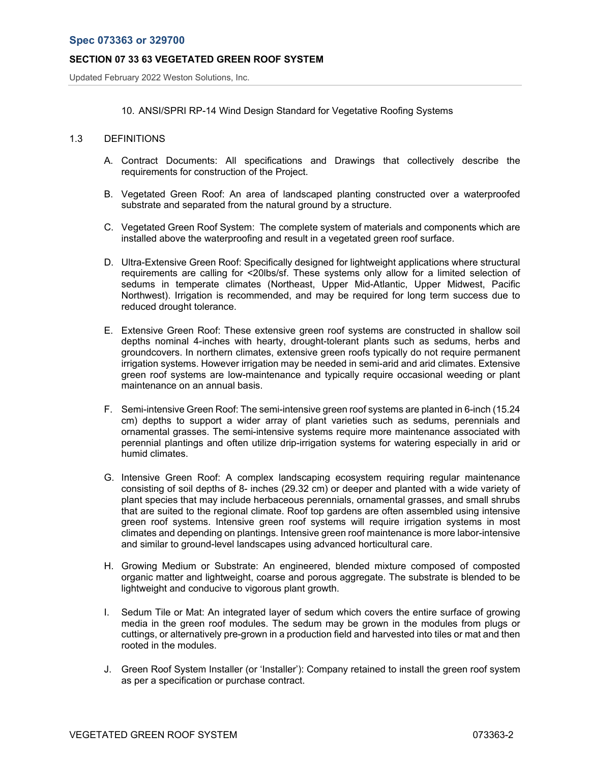Updated February 2022 Weston Solutions, Inc.

### 10. ANSI/SPRI RP-14 Wind Design Standard for Vegetative Roofing Systems

## 1.3 DEFINITIONS

- A. Contract Documents: All specifications and Drawings that collectively describe the requirements for construction of the Project.
- B. Vegetated Green Roof: An area of landscaped planting constructed over a waterproofed substrate and separated from the natural ground by a structure.
- C. Vegetated Green Roof System: The complete system of materials and components which are installed above the waterproofing and result in a vegetated green roof surface.
- D. Ultra-Extensive Green Roof: Specifically designed for lightweight applications where structural requirements are calling for <20lbs/sf. These systems only allow for a limited selection of sedums in temperate climates (Northeast, Upper Mid-Atlantic, Upper Midwest, Pacific Northwest). Irrigation is recommended, and may be required for long term success due to reduced drought tolerance.
- E. Extensive Green Roof: These extensive green roof systems are constructed in shallow soil depths nominal 4-inches with hearty, drought-tolerant plants such as sedums, herbs and groundcovers. In northern climates, extensive green roofs typically do not require permanent irrigation systems. However irrigation may be needed in semi-arid and arid climates. Extensive green roof systems are low-maintenance and typically require occasional weeding or plant maintenance on an annual basis.
- F. Semi-intensive Green Roof: The semi-intensive green roof systems are planted in 6-inch (15.24 cm) depths to support a wider array of plant varieties such as sedums, perennials and ornamental grasses. The semi-intensive systems require more maintenance associated with perennial plantings and often utilize drip-irrigation systems for watering especially in arid or humid climates.
- G. Intensive Green Roof: A complex landscaping ecosystem requiring regular maintenance consisting of soil depths of 8- inches (29.32 cm) or deeper and planted with a wide variety of plant species that may include herbaceous perennials, ornamental grasses, and small shrubs that are suited to the regional climate. Roof top gardens are often assembled using intensive green roof systems. Intensive green roof systems will require irrigation systems in most climates and depending on plantings. Intensive green roof maintenance is more labor-intensive and similar to ground-level landscapes using advanced horticultural care.
- H. Growing Medium or Substrate: An engineered, blended mixture composed of composted organic matter and lightweight, coarse and porous aggregate. The substrate is blended to be lightweight and conducive to vigorous plant growth.
- I. Sedum Tile or Mat: An integrated layer of sedum which covers the entire surface of growing media in the green roof modules. The sedum may be grown in the modules from plugs or cuttings, or alternatively pre-grown in a production field and harvested into tiles or mat and then rooted in the modules.
- J. Green Roof System Installer (or 'Installer'): Company retained to install the green roof system as per a specification or purchase contract.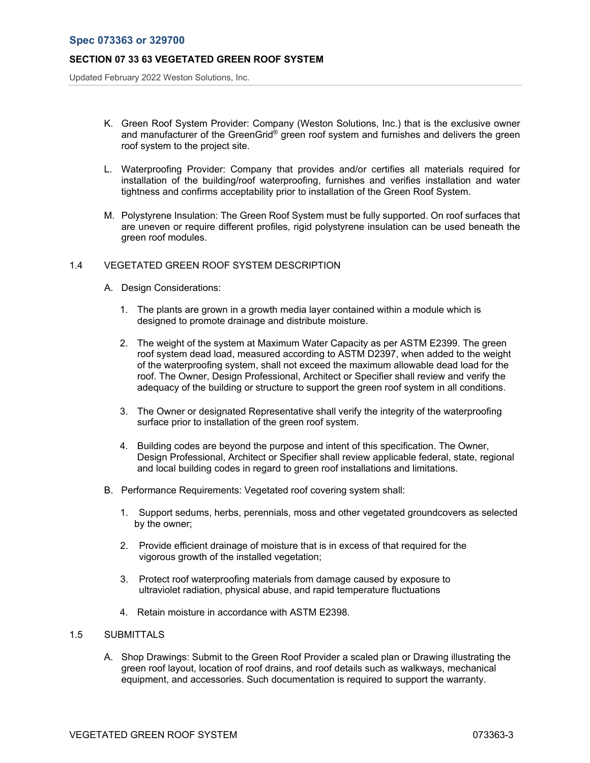Updated February 2022 Weston Solutions, Inc.

- K. Green Roof System Provider: Company (Weston Solutions, Inc.) that is the exclusive owner and manufacturer of the GreenGrid® green roof system and furnishes and delivers the green roof system to the project site.
- L. Waterproofing Provider: Company that provides and/or certifies all materials required for installation of the building/roof waterproofing, furnishes and verifies installation and water tightness and confirms acceptability prior to installation of the Green Roof System.
- M. Polystyrene Insulation: The Green Roof System must be fully supported. On roof surfaces that are uneven or require different profiles, rigid polystyrene insulation can be used beneath the green roof modules.

# 1.4 VEGETATED GREEN ROOF SYSTEM DESCRIPTION

- A. Design Considerations:
	- 1. The plants are grown in a growth media layer contained within a module which is designed to promote drainage and distribute moisture.
	- 2. The weight of the system at Maximum Water Capacity as per ASTM E2399. The green roof system dead load, measured according to ASTM D2397, when added to the weight of the waterproofing system, shall not exceed the maximum allowable dead load for the roof. The Owner, Design Professional, Architect or Specifier shall review and verify the adequacy of the building or structure to support the green roof system in all conditions.
	- 3. The Owner or designated Representative shall verify the integrity of the waterproofing surface prior to installation of the green roof system.
	- 4. Building codes are beyond the purpose and intent of this specification. The Owner, Design Professional, Architect or Specifier shall review applicable federal, state, regional and local building codes in regard to green roof installations and limitations.
- B. Performance Requirements: Vegetated roof covering system shall:
	- 1. Support sedums, herbs, perennials, moss and other vegetated groundcovers as selected by the owner;
	- 2. Provide efficient drainage of moisture that is in excess of that required for the vigorous growth of the installed vegetation;
	- 3. Protect roof waterproofing materials from damage caused by exposure to ultraviolet radiation, physical abuse, and rapid temperature fluctuations
	- 4. Retain moisture in accordance with ASTM E2398.

#### 1.5 SUBMITTALS

A. Shop Drawings: Submit to the Green Roof Provider a scaled plan or Drawing illustrating the green roof layout, location of roof drains, and roof details such as walkways, mechanical equipment, and accessories. Such documentation is required to support the warranty.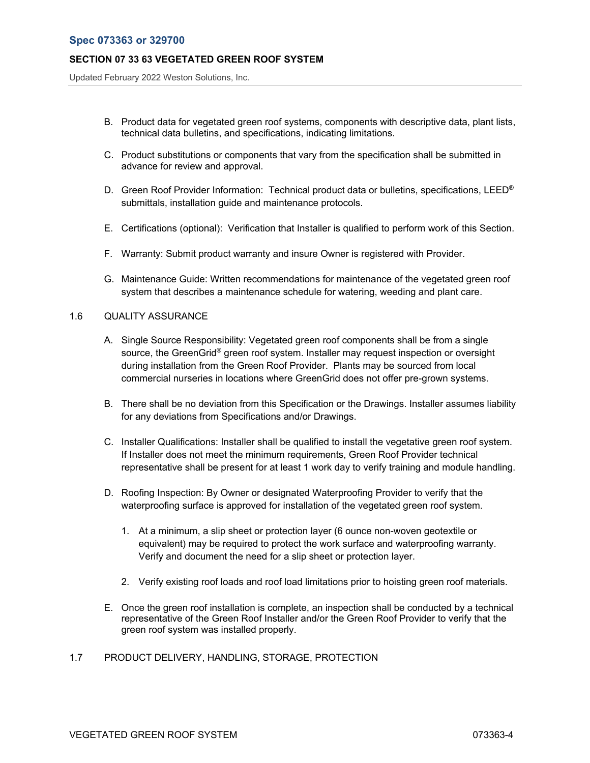Updated February 2022 Weston Solutions, Inc.

- B. Product data for vegetated green roof systems, components with descriptive data, plant lists, technical data bulletins, and specifications, indicating limitations.
- C. Product substitutions or components that vary from the specification shall be submitted in advance for review and approval.
- D. Green Roof Provider Information: Technical product data or bulletins, specifications, LEED<sup>®</sup> submittals, installation guide and maintenance protocols.
- E. Certifications (optional): Verification that Installer is qualified to perform work of this Section.
- F. Warranty: Submit product warranty and insure Owner is registered with Provider.
- G. Maintenance Guide: Written recommendations for maintenance of the vegetated green roof system that describes a maintenance schedule for watering, weeding and plant care.

### 1.6 QUALITY ASSURANCE

- A. Single Source Responsibility: Vegetated green roof components shall be from a single source, the GreenGrid<sup>®</sup> green roof system. Installer may request inspection or oversight during installation from the Green Roof Provider. Plants may be sourced from local commercial nurseries in locations where GreenGrid does not offer pre-grown systems.
- B. There shall be no deviation from this Specification or the Drawings. Installer assumes liability for any deviations from Specifications and/or Drawings.
- C. Installer Qualifications: Installer shall be qualified to install the vegetative green roof system. If Installer does not meet the minimum requirements, Green Roof Provider technical representative shall be present for at least 1 work day to verify training and module handling.
- D. Roofing Inspection: By Owner or designated Waterproofing Provider to verify that the waterproofing surface is approved for installation of the vegetated green roof system.
	- 1. At a minimum, a slip sheet or protection layer (6 ounce non-woven geotextile or equivalent) may be required to protect the work surface and waterproofing warranty. Verify and document the need for a slip sheet or protection layer.
	- 2. Verify existing roof loads and roof load limitations prior to hoisting green roof materials.
- E. Once the green roof installation is complete, an inspection shall be conducted by a technical representative of the Green Roof Installer and/or the Green Roof Provider to verify that the green roof system was installed properly.
- 1.7 PRODUCT DELIVERY, HANDLING, STORAGE, PROTECTION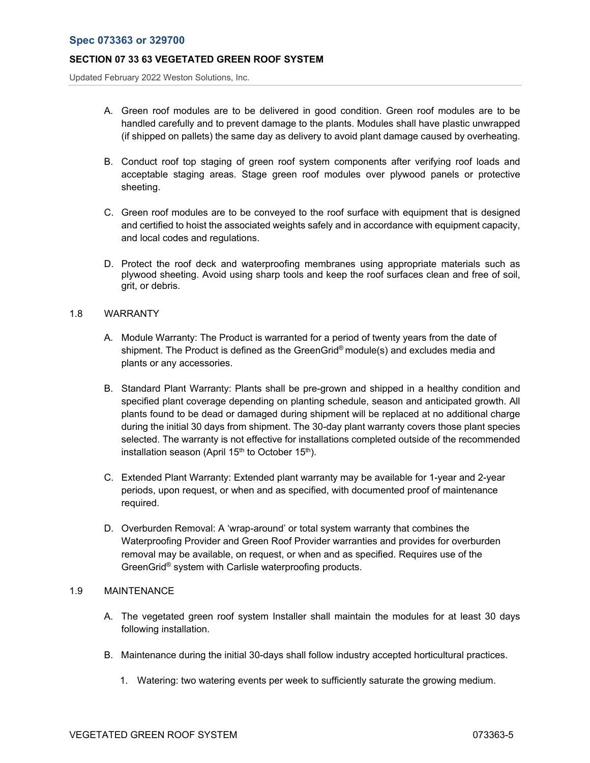Updated February 2022 Weston Solutions, Inc.

- A. Green roof modules are to be delivered in good condition. Green roof modules are to be handled carefully and to prevent damage to the plants. Modules shall have plastic unwrapped (if shipped on pallets) the same day as delivery to avoid plant damage caused by overheating.
- B. Conduct roof top staging of green roof system components after verifying roof loads and acceptable staging areas. Stage green roof modules over plywood panels or protective sheeting.
- C. Green roof modules are to be conveyed to the roof surface with equipment that is designed and certified to hoist the associated weights safely and in accordance with equipment capacity, and local codes and regulations.
- D. Protect the roof deck and waterproofing membranes using appropriate materials such as plywood sheeting. Avoid using sharp tools and keep the roof surfaces clean and free of soil, grit, or debris.

### 1.8 WARRANTY

- A. Module Warranty: The Product is warranted for a period of twenty years from the date of shipment. The Product is defined as the GreenGrid® module(s) and excludes media and plants or any accessories.
- B. Standard Plant Warranty: Plants shall be pre-grown and shipped in a healthy condition and specified plant coverage depending on planting schedule, season and anticipated growth. All plants found to be dead or damaged during shipment will be replaced at no additional charge during the initial 30 days from shipment. The 30-day plant warranty covers those plant species selected. The warranty is not effective for installations completed outside of the recommended installation season (April  $15<sup>th</sup>$  to October  $15<sup>th</sup>$ ).
- C. Extended Plant Warranty: Extended plant warranty may be available for 1-year and 2-year periods, upon request, or when and as specified, with documented proof of maintenance required.
- D. Overburden Removal: A 'wrap-around' or total system warranty that combines the Waterproofing Provider and Green Roof Provider warranties and provides for overburden removal may be available, on request, or when and as specified. Requires use of the GreenGrid® system with Carlisle waterproofing products.

### 1.9 MAINTENANCE

- A. The vegetated green roof system Installer shall maintain the modules for at least 30 days following installation.
- B. Maintenance during the initial 30-days shall follow industry accepted horticultural practices.
	- 1. Watering: two watering events per week to sufficiently saturate the growing medium.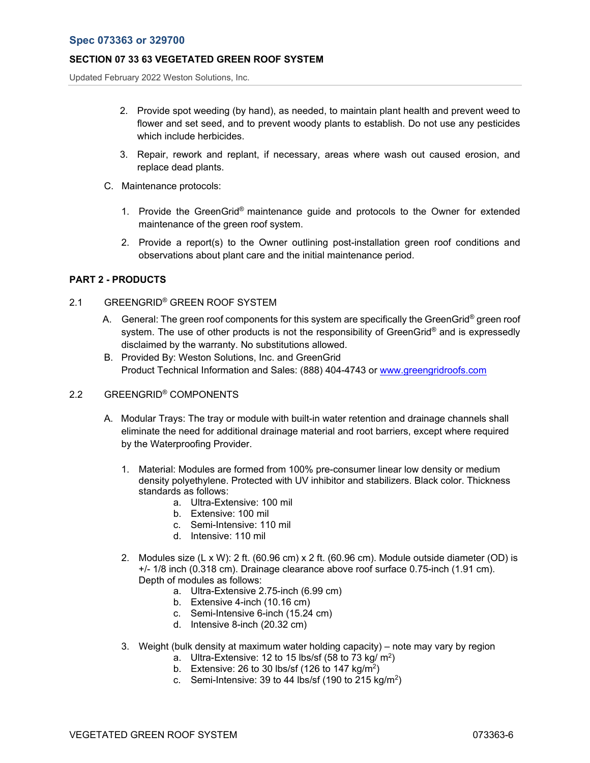# **Spec 073363 or 329700**

### **SECTION 07 33 63 VEGETATED GREEN ROOF SYSTEM**

Updated February 2022 Weston Solutions, Inc.

- 2. Provide spot weeding (by hand), as needed, to maintain plant health and prevent weed to flower and set seed, and to prevent woody plants to establish. Do not use any pesticides which include herbicides.
- 3. Repair, rework and replant, if necessary, areas where wash out caused erosion, and replace dead plants.
- C. Maintenance protocols:
	- 1. Provide the GreenGrid® maintenance guide and protocols to the Owner for extended maintenance of the green roof system.
	- 2. Provide a report(s) to the Owner outlining post-installation green roof conditions and observations about plant care and the initial maintenance period.

### **PART 2 - PRODUCTS**

### 2.1 GREENGRID® GREEN ROOF SYSTEM

- A. General: The green roof components for this system are specifically the GreenGrid<sup>®</sup> green roof system. The use of other products is not the responsibility of GreenGrid<sup>®</sup> and is expressedly disclaimed by the warranty. No substitutions allowed.
- B. Provided By: Weston Solutions, Inc. and GreenGrid Product Technical Information and Sales: (888) 404-4743 or www.greengridroofs.com

## 2.2 GREENGRID® COMPONENTS

- A. Modular Trays: The tray or module with built-in water retention and drainage channels shall eliminate the need for additional drainage material and root barriers, except where required by the Waterproofing Provider.
	- 1. Material: Modules are formed from 100% pre-consumer linear low density or medium density polyethylene. Protected with UV inhibitor and stabilizers. Black color. Thickness standards as follows:
		- a. Ultra-Extensive: 100 mil
		- b. Extensive: 100 mil
		- c. Semi-Intensive: 110 mil
		- d. Intensive: 110 mil
	- 2. Modules size (L x W): 2 ft. (60.96 cm) x 2 ft. (60.96 cm). Module outside diameter (OD) is +/- 1/8 inch (0.318 cm). Drainage clearance above roof surface 0.75-inch (1.91 cm). Depth of modules as follows:
		- a. Ultra-Extensive 2.75-inch (6.99 cm)
		- b. Extensive 4-inch (10.16 cm)
		- c. Semi-Intensive 6-inch (15.24 cm)
		- d. Intensive 8-inch (20.32 cm)
	- 3. Weight (bulk density at maximum water holding capacity) note may vary by region
		- a. Ultra-Extensive: 12 to 15 lbs/sf  $(58 \text{ to } 73 \text{ kg/m}^2)$
		- b. Extensive: 26 to 30 lbs/sf (126 to 147 kg/m<sup>2</sup>)
		- c. Semi-Intensive: 39 to 44 lbs/sf (190 to 215 kg/m<sup>2</sup>)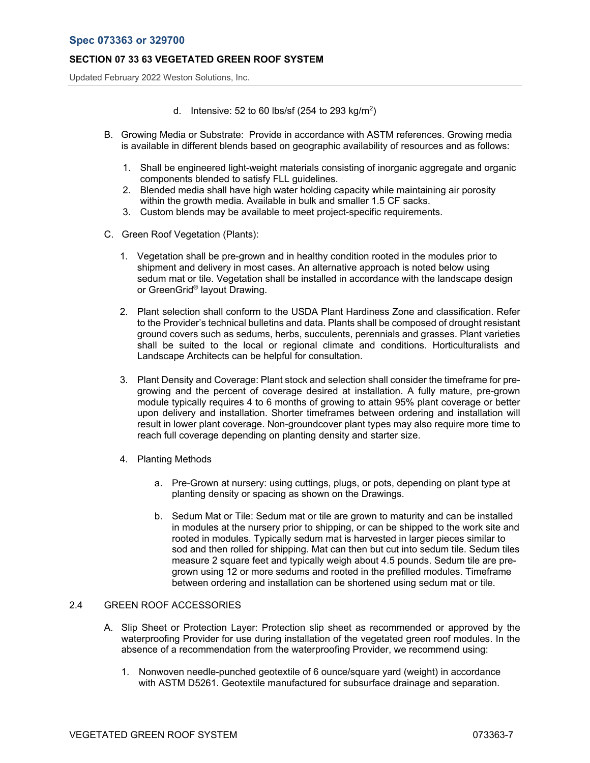Updated February 2022 Weston Solutions, Inc.

- d. Intensive: 52 to 60 lbs/sf (254 to 293 kg/m<sup>2</sup>)
- B. Growing Media or Substrate: Provide in accordance with ASTM references. Growing media is available in different blends based on geographic availability of resources and as follows:
	- 1. Shall be engineered light-weight materials consisting of inorganic aggregate and organic components blended to satisfy FLL guidelines.
	- 2. Blended media shall have high water holding capacity while maintaining air porosity within the growth media. Available in bulk and smaller 1.5 CF sacks.
	- 3. Custom blends may be available to meet project-specific requirements.
- C. Green Roof Vegetation (Plants):
	- 1. Vegetation shall be pre-grown and in healthy condition rooted in the modules prior to shipment and delivery in most cases. An alternative approach is noted below using sedum mat or tile. Vegetation shall be installed in accordance with the landscape design or GreenGrid® layout Drawing.
	- 2. Plant selection shall conform to the USDA Plant Hardiness Zone and classification. Refer to the Provider's technical bulletins and data. Plants shall be composed of drought resistant ground covers such as sedums, herbs, succulents, perennials and grasses. Plant varieties shall be suited to the local or regional climate and conditions. Horticulturalists and Landscape Architects can be helpful for consultation.
	- 3. Plant Density and Coverage: Plant stock and selection shall consider the timeframe for pregrowing and the percent of coverage desired at installation. A fully mature, pre-grown module typically requires 4 to 6 months of growing to attain 95% plant coverage or better upon delivery and installation. Shorter timeframes between ordering and installation will result in lower plant coverage. Non-groundcover plant types may also require more time to reach full coverage depending on planting density and starter size.
	- 4. Planting Methods
		- a. Pre-Grown at nursery: using cuttings, plugs, or pots, depending on plant type at planting density or spacing as shown on the Drawings.
		- b. Sedum Mat or Tile: Sedum mat or tile are grown to maturity and can be installed in modules at the nursery prior to shipping, or can be shipped to the work site and rooted in modules. Typically sedum mat is harvested in larger pieces similar to sod and then rolled for shipping. Mat can then but cut into sedum tile. Sedum tiles measure 2 square feet and typically weigh about 4.5 pounds. Sedum tile are pregrown using 12 or more sedums and rooted in the prefilled modules. Timeframe between ordering and installation can be shortened using sedum mat or tile.

# 2.4 GREEN ROOF ACCESSORIES

- A. Slip Sheet or Protection Layer: Protection slip sheet as recommended or approved by the waterproofing Provider for use during installation of the vegetated green roof modules. In the absence of a recommendation from the waterproofing Provider, we recommend using:
	- 1. Nonwoven needle-punched geotextile of 6 ounce/square yard (weight) in accordance with ASTM D5261. Geotextile manufactured for subsurface drainage and separation.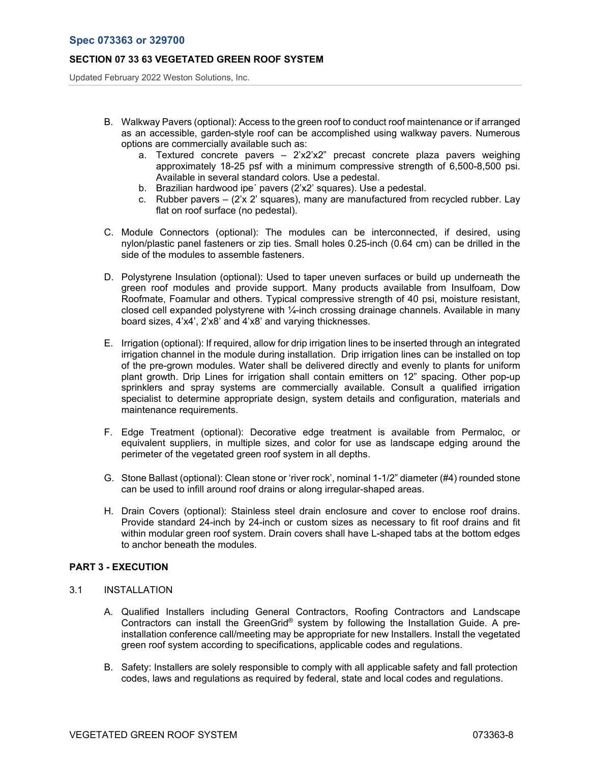Updated February 2022 Weston Solutions, Inc.

- B. Walkway Pavers (optional): Access to the green roof to conduct roof maintenance or if arranged as an accessible, garden-style roof can be accomplished using walkway pavers. Numerous options are commercially available such as:
	- a. Textured concrete pavers  $-2'x2'x2''$  precast concrete plaza pavers weighing approximately 18-25 psf with a minimum compressive strength of 6,500-8,500 psi. Available in several standard colors. Use a pedestal.
	- b. Brazilian hardwood ipe´ pavers (2'x2' squares). Use a pedestal.
	- c. Rubber pavers  $-$  (2'x 2' squares), many are manufactured from recycled rubber. Lay flat on roof surface (no pedestal).
- C. Module Connectors (optional): The modules can be interconnected, if desired, using nylon/plastic panel fasteners or zip ties. Small holes 0.25-inch (0.64 cm) can be drilled in the side of the modules to assemble fasteners.
- D. Polystyrene Insulation (optional): Used to taper uneven surfaces or build up underneath the green roof modules and provide support. Many products available from Insulfoam, Dow Roofmate, Foamular and others. Typical compressive strength of 40 psi, moisture resistant, closed cell expanded polystyrene with ¼-inch crossing drainage channels. Available in many board sizes, 4'x4', 2'x8' and 4'x8' and varying thicknesses.
- E. Irrigation (optional): If required, allow for drip irrigation lines to be inserted through an integrated irrigation channel in the module during installation. Drip irrigation lines can be installed on top of the pre-grown modules. Water shall be delivered directly and evenly to plants for uniform plant growth. Drip Lines for irrigation shall contain emitters on 12" spacing. Other pop-up sprinklers and spray systems are commercially available. Consult a qualified irrigation specialist to determine appropriate design, system details and configuration, materials and maintenance requirements.
- F. Edge Treatment (optional): Decorative edge treatment is available from Permaloc, or equivalent suppliers, in multiple sizes, and color for use as landscape edging around the perimeter of the vegetated green roof system in all depths.
- G. Stone Ballast (optional): Clean stone or 'river rock', nominal 1-1/2" diameter (#4) rounded stone can be used to infill around roof drains or along irregular-shaped areas.
- H. Drain Covers (optional): Stainless steel drain enclosure and cover to enclose roof drains. Provide standard 24-inch by 24-inch or custom sizes as necessary to fit roof drains and fit within modular green roof system. Drain covers shall have L-shaped tabs at the bottom edges to anchor beneath the modules.

# **PART 3 - EXECUTION**

# 3.1 INSTALLATION

- A. Qualified Installers including General Contractors, Roofing Contractors and Landscape Contractors can install the GreenGrid® system by following the Installation Guide. A preinstallation conference call/meeting may be appropriate for new Installers. Install the vegetated green roof system according to specifications, applicable codes and regulations.
- B. Safety: Installers are solely responsible to comply with all applicable safety and fall protection codes, laws and regulations as required by federal, state and local codes and regulations.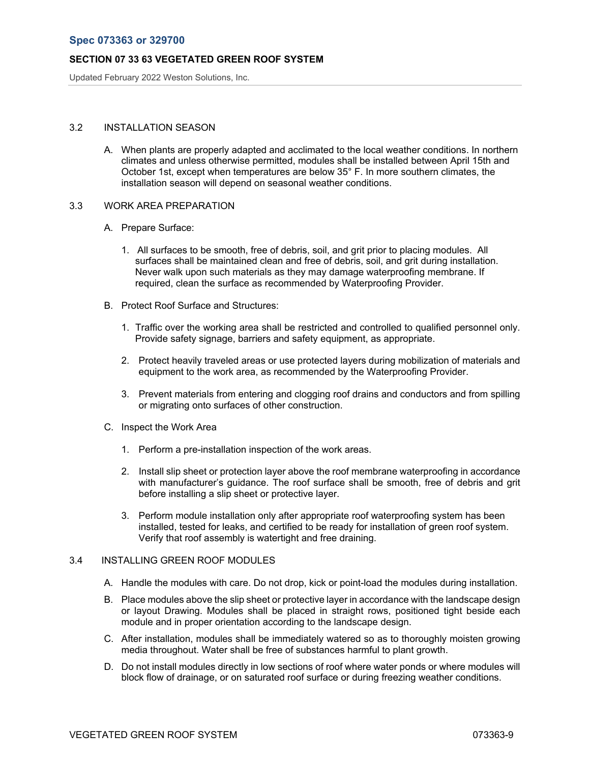Updated February 2022 Weston Solutions, Inc.

# 3.2 INSTALLATION SEASON

A. When plants are properly adapted and acclimated to the local weather conditions. In northern climates and unless otherwise permitted, modules shall be installed between April 15th and October 1st, except when temperatures are below 35° F. In more southern climates, the installation season will depend on seasonal weather conditions.

### 3.3 WORK AREA PREPARATION

- A. Prepare Surface:
	- 1. All surfaces to be smooth, free of debris, soil, and grit prior to placing modules. All surfaces shall be maintained clean and free of debris, soil, and grit during installation. Never walk upon such materials as they may damage waterproofing membrane. If required, clean the surface as recommended by Waterproofing Provider.
- B. Protect Roof Surface and Structures:
	- 1. Traffic over the working area shall be restricted and controlled to qualified personnel only. Provide safety signage, barriers and safety equipment, as appropriate.
	- 2. Protect heavily traveled areas or use protected layers during mobilization of materials and equipment to the work area, as recommended by the Waterproofing Provider.
	- 3. Prevent materials from entering and clogging roof drains and conductors and from spilling or migrating onto surfaces of other construction.
- C. Inspect the Work Area
	- 1. Perform a pre-installation inspection of the work areas.
	- 2. Install slip sheet or protection layer above the roof membrane waterproofing in accordance with manufacturer's guidance. The roof surface shall be smooth, free of debris and grit before installing a slip sheet or protective layer.
	- 3. Perform module installation only after appropriate roof waterproofing system has been installed, tested for leaks, and certified to be ready for installation of green roof system. Verify that roof assembly is watertight and free draining.

#### 3.4 INSTALLING GREEN ROOF MODULES

- A. Handle the modules with care. Do not drop, kick or point-load the modules during installation.
- B. Place modules above the slip sheet or protective layer in accordance with the landscape design or layout Drawing. Modules shall be placed in straight rows, positioned tight beside each module and in proper orientation according to the landscape design.
- C. After installation, modules shall be immediately watered so as to thoroughly moisten growing media throughout. Water shall be free of substances harmful to plant growth.
- D. Do not install modules directly in low sections of roof where water ponds or where modules will block flow of drainage, or on saturated roof surface or during freezing weather conditions.